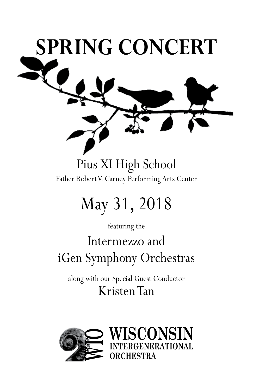

Pius XI High School Father Robert V. Carney Performing Arts Center

# May 31, 2018

featuring the

# Intermezzo and iGen Symphony Orchestras

along with our Special Guest Conductor Kristen Tan

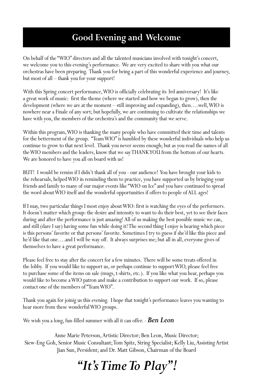## **Good Evening and Welcome**

On behalf of the "WIO" directors and all the talented musicians involved with tonight's concert, we welcome you to this evening's performance. We are very excited to share with you what our orchestras have been preparing. Thank you for being a part of this wonderful experience and journey, but most of all – thank you for your support!

With this Spring concert performance, WIO is officially celebrating its 3rd anniversary! It's like a great work of music: first the theme (where we started and how we began to grow), then the development (where we are at the moment – still improving and expanding), then….well, WIO is nowhere near a Finale of any sort; but hopefully, we are continuing to cultivate the relationships we have with you, the members of the orchestra's and the community that we serve.

Within this program, WIO is thanking the many people who have committed their time and talents for the betterment of the group. "Team WIO" is humbled by these wonderful individuals who help us continue to grow to that next level. Thank you never seems enough; but as you read the names of all the WIO members and the leaders, know that we say THANK YOU from the bottom of our hearts. We are honored to have you all on board with us!

BUT! I would be remiss if I didn't thank all of you - our audience! You have brought your kids to the rehearsals, helped WIO in reminding them to practice, you have supported us by bringing your friends and family to many of our major events like "WIO on Ice" and you have continued to spread the word about WIO itself and the wonderful opportunities if offers to people of ALL ages!

If I may, two particular things I most enjoy about WIO: first is watching the eyes of the performers. It doesn't matter which group: the desire and intensity to want to do their best, yet to see their faces during and after the performance is just amazing! All of us making the best possible music we can, and still (dare I say) having some fun while doing it! The second thing I enjoy is hearing which piece is this persons' favorite or that persons' favorite. Sometimes I try to guess if she'd like this piece and he'd like that one….and I will be way off. It always surprises me; but all in all, everyone gives of themselves to have a great performance.

Please feel free to stay after the concert for a few minutes. There will be some treats offered in the lobby. If you would like to support us, or perhaps continue to support WIO, please feel free to purchase some of the items on sale (mugs, t-shirts, etc.). If you like what you hear, perhaps you would like to become a WIO patron and make a contribution to support our work. If so, please contact one of the members of "Team WIO".

Thank you again for joinig us this evening. I hope that tonight's performance leaves you wanting to hear more from these wonderful WIO groups.

We wish you a long, fun-filled summer with all it can offer. - *Ben Leon*

Anne Marie Peterson, Artistic Director; Ben Leon, Music Director; Siew-Eng Goh, Senior Music Consultant; Tom Spitz, String Specialist; Kelly Liu, Assisting Artist Jian Sun, Persident; and Dr. Matt Gibson, Chairman of the Board

# *"It's Time To Play"!*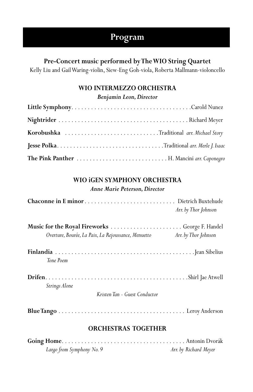#### **Pre-Concert music performed by The WIO String Quartet**

Kelly Liu and Gail Waring-violin, Siew-Eng Goh-viola, Roberta Mallmann-violoncello

#### **WIO INTERMEZZO ORCHESTRA**

*Benjamin Leon, Director*

| Korobushka Traditional arr. Michael Story |  |
|-------------------------------------------|--|
|                                           |  |
|                                           |  |

#### **WIO iGEN SYMPHONY ORCHESTRA**

#### *Anne Marie Peterson, Director*

|                                                                                                                             | Arr. by Thor Johnson |
|-----------------------------------------------------------------------------------------------------------------------------|----------------------|
| Music for the Royal Fireworks  George F. Handel<br>Overture, Bourée, La Paix, La Rejoussance, Menuetto Arr. by Thor Johnson |                      |
| Tone Poem                                                                                                                   |                      |
| Strings Alone<br>Kristen Tan - Guest Conductor                                                                              |                      |
|                                                                                                                             |                      |
|                                                                                                                             |                      |

### **ORCHESTRAS TOGETHER**

| Largo from Symphony No. 9 | Arr. by Richard Meyer |
|---------------------------|-----------------------|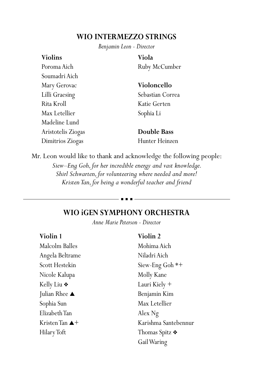#### **WIO INTERMEZZO STRINGS**

*Benjamin Leon - Director*

#### **Violins**

Poroma Aich Soumadri Aich Mary Gerovac Lilli Graesing Rita Kroll Max Letellier Madeline Lund Aristotelis Ziogas Dimitrios Ziogas

#### **Viola** Ruby McCumber

#### **Violoncello**

Sebastian Correa Katie Gerten Sophia Li

**Double Bass** Hunter Heinzen

Mr. Leon would like to thank and acknowledge the following people:

*Siew–Eng Goh, for her incredible energy and vast knowledge. Shirl Schwarten, for volunteering where needed and more! Kristen Tan, for being a wonderful teacher and friend*

#### **WIO iGEN SYMPHONY ORCHESTRA**

 $\begin{array}{ccc} \bullet & \bullet & \bullet \end{array}$ 

*Anne Marie Peterson - Director*

#### **Violin 1**

Malcolm Balles Angela Beltrame Scott Hestekin Nicole Kalupa Kelly Liu ◆ Julian Rhee  $\triangle$ Sophia Sun Elizabeth Tan Kristen Tan  $\blacktriangle$ + Hilary Toft

#### **Violin 2**

Mohima Aich Niladri Aich Siew-Eng Goh \*+ Molly Kane Lauri Kiely + Benjamin Kim Max Letellier Alex Ng Karishma Santebennur Thomas Spitz ◆ Gail Waring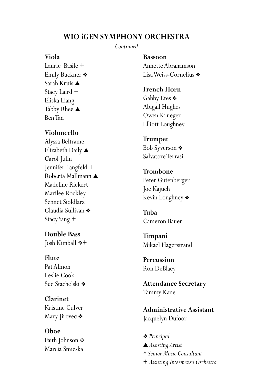#### **WIO iGEN SYMPHONY ORCHESTRA**

*Continued*

#### **Viola**

Laurie Basile + Emily Buckner  $\clubsuit$ Sarah Kruis  $\triangle$ Stacy Laird + Eliska Liang Tabby Rhee  $\blacktriangle$ Ben Tan

#### **Violoncello**

Alyssa Beltrame Elizabeth Daily  $\triangle$ Carol Julin Jennifer Langfeld + Roberta Mallmann  $\blacktriangle$ Madeline Rickert Marilee Rockley Sennet Sioldlarz Claudia Sullivan  $\clubsuit$ Stacy Yang +

#### **Double Bass**

Josh Kimball  $\diamond$ +

#### **Flute**

Pat Almon Leslie Cook Sue Stachelski ◆

#### **Clarinet**

Kristine Culver Mary Jirovec  $\triangleleft$ 

#### **Oboe** Faith Johnson  $\bullet$ Marcia Smieska

**Bassoon** Annette Abrahamson Lisa Weiss-Cornelius ❖

#### **French Horn** Gabby Etes  $\triangleleft$ Abigail Hughes Owen Krueger Elliott Loughney

**Trumpet** Bob Syverson  $\bullet$ Salvatore Terrasi

#### **Trombone** Peter Gutenberger Joe Kajuch Kevin Loughney  $\triangleleft$

**Tuba** Cameron Bauer

**Timpani** Mikael Hagerstrand

**Percussion** Ron DeBlaey

**Attendance Secretary** Tammy Kane

**Administrative Assistant** Jacquelyn Dufoor

v *Principal* s *Assisting Artist \* Senior Music Consultant* + *Assisting Intermezzo Orchestra*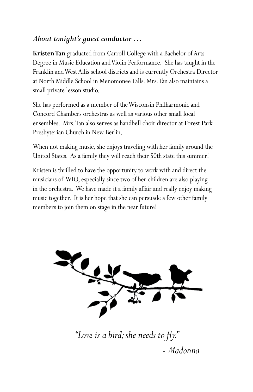### *About tonight's guest conductor . . .*

**Kristen Tan** graduated from Carroll College with a Bachelor of Arts Degree in Music Education and Violin Performance. She has taught in the Franklin and West Allis school districts and is currently Orchestra Director at North Middle School in Menomonee Falls. Mrs. Tan also maintains a small private lesson studio.

She has performed as a member of the Wisconsin Philharmonic and Concord Chambers orchestras as well as various other small local ensembles. Mrs. Tan also serves as handbell choir director at Forest Park Presbyterian Church in New Berlin.

When not making music, she enjoys traveling with her family around the United States. As a family they will reach their 50th state this summer!

Kristen is thrilled to have the opportunity to work with and direct the musicians of WIO, especially since two of her children are also playing in the orchestra. We have made it a family affair and really enjoy making music together. It is her hope that she can persuade a few other family members to join them on stage in the near future!



*"Love is a bird; she needs to fly." - Madonna*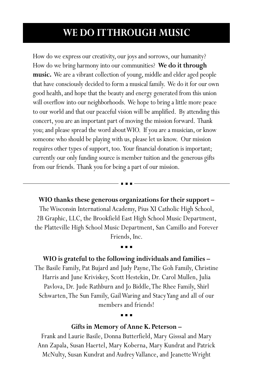### **WE DO IT THROUGH MUSIC**

How do we express our creativity, our joys and sorrows, our humanity? How do we bring harmony into our communities? **We do it through music.** We are a vibrant collection of young, middle and elder aged people that have consciously decided to form a musical family. We do it for our own good health, and hope that the beauty and energy generated from this union will overflow into our neighborhoods. We hope to bring a little more peace to our world and that our peaceful vision will be amplified. By attending this concert, you are an important part of moving the mission forward. Thank you; and please spread the word about WIO. If you are a musician, or know someone who should be playing with us, please let us know. Our mission requires other types of support, too. Your financial donation is important; currently our only funding source is member tuition and the generous gifts from our friends. Thank you for being a part of our mission.

**WIO thanks these generous organizations for their support –** The Wisconsin International Academy, Pius XI Catholic High School, 2B Graphic, LLC, the Brookfield East High School Music Department, the Platteville High School Music Department, San Camillo and Forever Friends, Inc.

**WIO is grateful to the following individuals and families –** The Basile Family, Pat Bujard and Judy Payne, The Goh Family, Christine Harris and June Kriviskey, Scott Hestekin, Dr. Carol Mullen, Julia Pavlova, Dr. Jude Rathburn and Jo Biddle, The Rhee Family, Shirl Schwarten, The Sun Family, Gail Waring and Stacy Yang and all of our members and friends!

**Gifts in Memory of Anne K. Peterson –**

Frank and Laurie Basile, Donna Butterfield, Mary Gisssal and Mary Ann Zapala, Susan Haertel, Mary Koberna, Mary Kundrat and Patrick McNulty, Susan Kundrat and Audrey Vallance, and Jeanette Wright